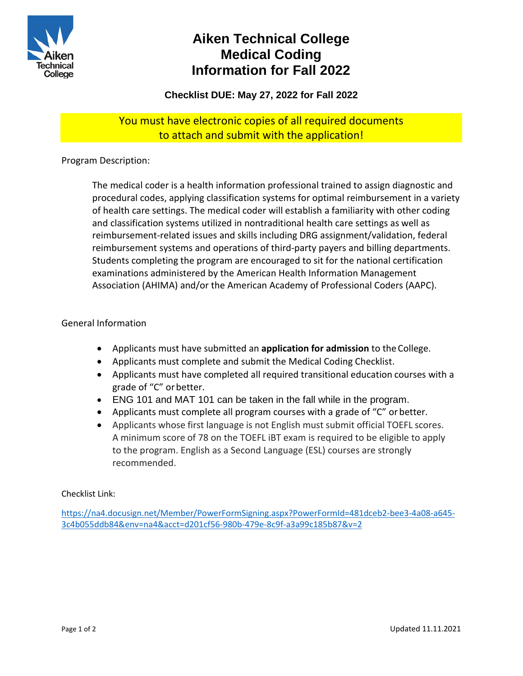

# **Aiken Technical College Medical Coding Information for Fall 2022**

**Checklist DUE: May 27, 2022 for Fall 2022**

### You must have electronic copies of all required documents to attach and submit with the application!

Program Description:

The medical coder is a health information professional trained to assign diagnostic and procedural codes, applying classification systems for optimal reimbursement in a variety of health care settings. The medical coder will establish a familiarity with other coding and classification systems utilized in nontraditional health care settings as well as reimbursement-related issues and skills including DRG assignment/validation, federal reimbursement systems and operations of third-party payers and billing departments. Students completing the program are encouraged to sit for the national certification examinations administered by the American Health Information Management Association (AHIMA) and/or the American Academy of Professional Coders (AAPC).

### General Information

- Applicants must have submitted an **application for admission** to theCollege.
- Applicants must complete and submit the Medical Coding Checklist.
- Applicants must have completed all required transitional education courses with a grade of "C" orbetter.
- ENG 101 and MAT 101 can be taken in the fall while in the program.
- Applicants must complete all program courses with a grade of "C" or better.
- Applicants whose first language is not English must submit official TOEFL scores. A minimum score of 78 on the TOEFL iBT exam is required to be eligible to apply to the program. English as a Second Language (ESL) courses are strongly recommended.

#### Checklist Link:

[https://na4.docusign.net/Member/PowerFormSigning.aspx?PowerFormId=481dceb2-bee3-4a08-a645-](https://na4.docusign.net/Member/PowerFormSigning.aspx?PowerFormId=481dceb2-bee3-4a08-a645-3c4b055ddb84&env=na4&acct=d201cf56-980b-479e-8c9f-a3a99c185b87&v=2) [3c4b055ddb84&env=na4&acct=d201cf56-980b-479e-8c9f-a3a99c185b87&v=2](https://na4.docusign.net/Member/PowerFormSigning.aspx?PowerFormId=481dceb2-bee3-4a08-a645-3c4b055ddb84&env=na4&acct=d201cf56-980b-479e-8c9f-a3a99c185b87&v=2)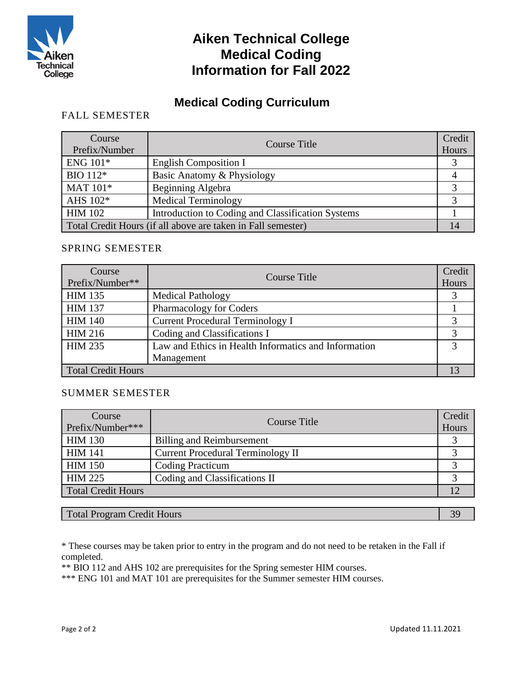

## **Aiken Technical College Medical Coding Information for Fall 2022**

### **Medical Coding Curriculum**

### FALL SEMESTER

| Course<br>Prefix/Number | Course Title                                                 | Credit<br>Hours |
|-------------------------|--------------------------------------------------------------|-----------------|
| ENG 101*                | <b>English Composition I</b>                                 |                 |
| BIO 112*                | Basic Anatomy & Physiology                                   |                 |
| MAT 101*                | Beginning Algebra                                            |                 |
| AHS 102*                | <b>Medical Terminology</b>                                   |                 |
| <b>HIM 102</b>          | Introduction to Coding and Classification Systems            |                 |
|                         | Total Credit Hours (if all above are taken in Fall semester) |                 |

### SPRING SEMESTER

| Course<br>Prefix/Number** | <b>Course Title</b>                                  | Credit<br>Hours |
|---------------------------|------------------------------------------------------|-----------------|
| <b>HIM 135</b>            | <b>Medical Pathology</b>                             |                 |
| <b>HIM 137</b>            | Pharmacology for Coders                              |                 |
| <b>HIM 140</b>            | <b>Current Procedural Terminology I</b>              |                 |
| <b>HIM 216</b>            | Coding and Classifications I                         |                 |
| <b>HIM 235</b>            | Law and Ethics in Health Informatics and Information |                 |
|                           | Management                                           |                 |
| <b>Total Credit Hours</b> |                                                      |                 |

#### SUMMER SEMESTER

| Course             | Course Title                             | Credit |
|--------------------|------------------------------------------|--------|
| Prefix/Number***   |                                          | Hours  |
| <b>HIM 130</b>     | Billing and Reimbursement                |        |
| <b>HIM 141</b>     | <b>Current Procedural Terminology II</b> |        |
| <b>HIM 150</b>     | <b>Coding Practicum</b>                  |        |
| HIM 225            | Coding and Classifications II            |        |
| Total Credit Hours |                                          |        |

Total Program Credit Hours 39

\* These courses may be taken prior to entry in the program and do not need to be retaken in the Fall if completed.

\*\* BIO 112 and AHS 102 are prerequisites for the Spring semester HIM courses.

\*\*\* ENG 101 and MAT 101 are prerequisites for the Summer semester HIM courses.